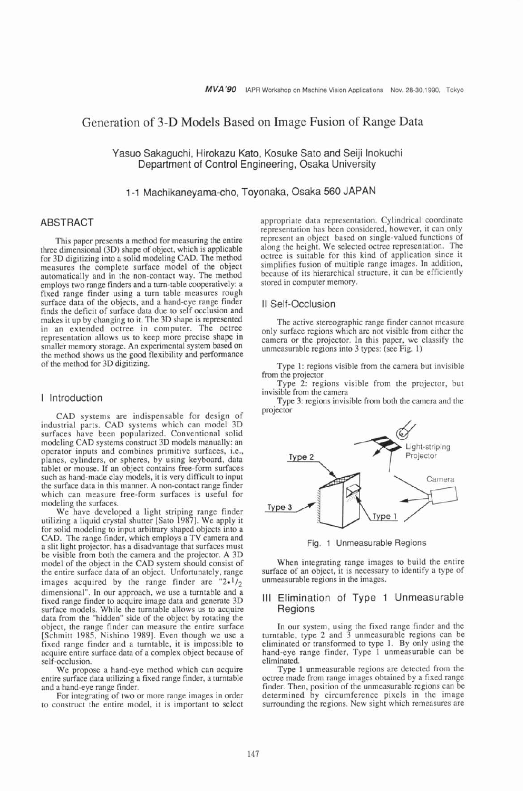# Generation of 3-D Models Based on Image Fusion of Range Data

Yasuo Sakaguchi, Hirokazu Kato, Kosuke Sato and Seiji lnokuchi Department of Control Engineering, Osaka University

1 -1 Machikaneyama-cho, Toyonaka, Osaka 560 JAPAN

## ABSTRACT

This paper presents a method for measuring the entire three dimensional (3D) shape of object, which is applicable for 3D digitizing into a solid modeling CAD. The method measures the complete surface model of the object automatically and in the non-contact way. The method employs two range finders and a turn-table cooperatively: a fixed range finder using a turn table measures rough surface data of the objects, and a hand-eye range finder finds the deficit of surface data due to self occlusion and makes it up by changing to it. The 3D shape is represented in an extended octree in computer. The octree representation allows us to keep more precise shape in smaller memory storage. An experimental system based on the method shows us the good flexibility and performance of the method for 3D digitizing.

## I Introduction

CAD systems are indispensable for design of industrial parts. CAD systems which can model 3D surfaces have been popularized. Conventional solid modeling CAD systems construct 3D models manually: an operator inputs and combines primitive surfaces, i.e., planes, cylinders, or spheres, by using keyboard, data tablet or mouse. If an object contains free-form surfaces such as hand-made clay models, it is very difficult to input the surface data in this manner. A non-contact range finder which can measure free-form surfaces is useful for modeling the surfaces.

We have developed a light striping range finder utilizing a liquid crystal shutter [Sato 19871. We apply it for solid modeling to input arbitrary shaped objects into a CAD. The range finder, which employs a TV camera and a slit light projector, has a disadvantage that surfaces must be visible from both the camera and the projector. A 3D model of the object in the CAD system should consist of the entire surface data of an object. Unfortunately, range images acquired by the range finder are " $2 \cdot \frac{1}{2}$ dimensional". In our approach, we use a turntable and a fixed range finder to acquire image data and generate 3D surface models. While the turntable allows us to acquire data from the "hidden" side of the object by rotating the object, the range finder can measure the entire surface [Schmitt 1985, Nishino 1989]. Even though we use a fixed range finder and a turntable, it is impossible to acquire entire surface data of a complex object because of self-occlusion.

We propose a hand-eye method which can acquire entire surface data utilizing a fixed range finder, a turntable and a hand-eye range finder.

For integrating of two or more range images in order to construct the entire model, it is important to select appropriate data representation. Cylindrical coordinate representation has been considered, however, it can only represent an object based on single-valued functions of along the height. We selected octree representation. The octree is suitable for this kind of application since it simplifies fusion of multiple range images. In addition, because of its hierarchical structure, it can be efficiently stored in computer memory.

## I1 Self-Occlusion

The active stereographic range finder cannot measure only surface regions which are not visible from either the camera or the projector. In this paper, we classify the unmeasurable regions into 3 types: (see Fig. 1)

Type 1: regions visible from the camera but invisible from the projector

Type 2: regions visible from the projector, but invisible from the camera

Type 3: regions invisible from both the camera and the projector



Fig. 1 Unmeasurable Regions

When integrating range images to build the entire surface of an object, it is necessary to identify a type of unmeasurable regions in the images.

## Ill Elimination of Type 1 Unmeasurable Regions

In our system, using the fixed range finder and the turntable, type 2 and 3 unmeasurable regions can be eliminated or transformed to type 1. By only using the hand-eye range finder, Type 1 unmeasurable can be eliminated.

Type 1 unmeasurable regions are detected from the octree made from range images obtained by a fixed range finder. Then, position of the unmeasurable regions can be determined by circumference pixels in the image surrounding the regions. New sight which remeasures are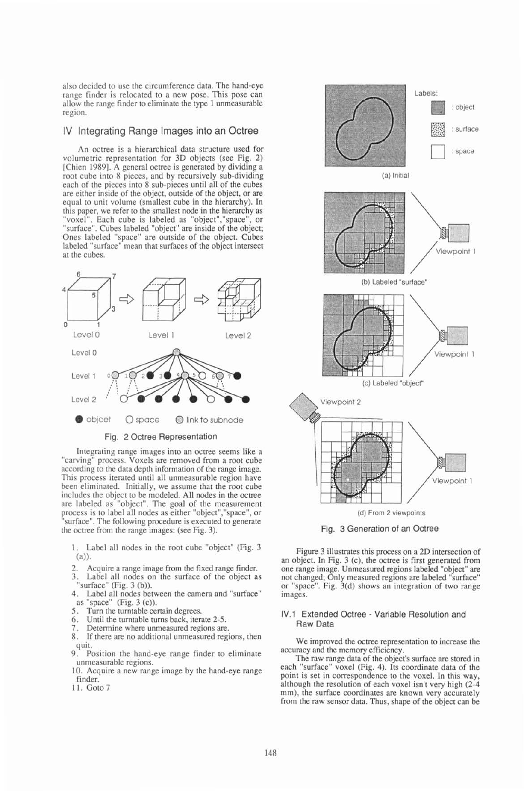also decided to use the circumference data. The hand-eye range finder is relocated to a new pose. This pose can allow the range finder to eliminate the type 1 unmeasurable region.

### IV Integrating Range Images into an Octree

An octree is a hierarchical data structure used for volumetric representation for 3D objects (see Fig. 2) [Chien 1989]. A general octree is generated by dividing a root cube into 8 pieces, and by recursively sub-dividing each of the pieces into 8 sub-pieces until all of the cubes are either inside of the object, outside of the object, or are equal to unit volume (smallest cube in the hierarchy). In this paper, we refer to the smallest node in the hierarchy as "voxel". Each cube is labeled as "object","space", or "surface". Cubes labeled "object" are inside of the object; Ones labeled "space" are outside of the object. Cubes labeled "surface" mean that surfaces of the object intersect at the cubes.



Integrating range images into an octree seems like a "carving" process. Voxels are removed from a root cube according to the data depth information of the range image. This process iterated until all unmeasurable region have been eliminated. Initially, we assume that the root cube includes the object to be modeled. All nodes in the octree are labeled as "object". The goal of the measurement process is to label all nodes as either "object","space", or 'surface". The following procedure is executed to generate the octree from the range images: (see Fig. 3).

- 1. Label all nodes in the root cube "object" (Fig. 3 (a)).
- **2.** Acquire a range image from the fixed range finder.
- 3. Label all nodes on the surface of the object as "surface" (Fig. 3 (b)).
- 4. Label all nodes between the camera and "surface" as "space" (Fig. 3 (c)).
- 5. Turn the turntable certain degrees.
- 5. Turn the turntable certain degrees.<br>6. Until the turntable turns back, iterate 2-5.<br>7. Determine where unmeasured regions are
- 7. Determine where unmeasured regions are.<br>8. If there are no additional unmeasured regions.
- If there are no additional unmeasured regions, then quit.<br>9. P
- Position the hand-eye range finder to eliminate unmeasurable regions.
- 10. Acquire a new range image by the hand-eye range finder.
- 11. Got07



Fig. 3 Generation of an Octree

Figure 3 illustrates this process on a 2D intersection of an object. In Fig. 3 (c), the octree is first generated from one range image. Unmeasured regions labeled "object" are not changed; Only measured regions are labeled "surface" or "space". Fig. 3(d) shows an integration of two range images.

#### IV.1 Extended Octree - Variable Resolution and Raw Data

We improved the octree representation *to* increase the accuracy and the memory efficiency.

The raw range data of the object's surface are stored in each "surface" voxel (Fig. 4). Its coordinate data of the point is set in correspondence to the voxel. In this way, although the resolution of each voxel isn't very high (2-4 mm), the surface coordinates are known very accurately from the raw sensor data. Thus, shape of the object can be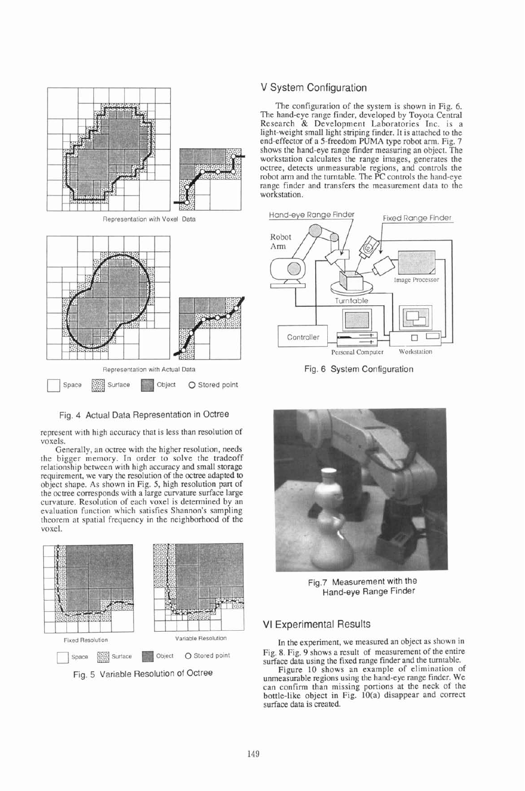

Fig. **4** Actual Data Representation in Octree

represent with high accuracy that is less than resolution of voxels.

Generally, an octree with the higher resolution, needs the bigger memory. In order to solve the tradeoff relationship between with high accuracy and small storage requirement, we vary the resolution of the octree adapted to object shape. As shown in Fig. 5, high resolution part of the octree corresponds with a large curvature surface large curvature. Resolution of each voxel is determined by an evaluation function which satisfies Shannon's sampling theorem at spatial frequency in the neighborhood of the voxel.



The configuration of the system is shown in Fig. 6. The hand-eye range finder, developed by Toyota Central Research & Development Laboratories Inc. is a light-weight small light striping finder. It is attached to the end-effector of a 5-freedom PUMA type robot arm. Fig. 7 shows the hand-eye range finder measuring an object. The workstation calculates the range images, generates the octree, detects unmeasurable regions, and controls the robot arm and the turntable. The PC controls the hand-eye range finder and transfers the measurement data to the workstation.



Fig. 6 System Configuration



Fig.7 Measurement with the Hand-eye Range Finder

# VI Experimental Results

In the experiment, we measured an object as shown in Fig. 8. Fig. 9 shows a result of measurement of the entire surface data using the fixed range finder and the turntable.

Figure 10 shows an example of elimination of unmeasurable regions using the hand-eye range finder. We can confirm than missing portions at the neck of the bottle-like object in Fig. 10(a) disappear and correct surface data is created.